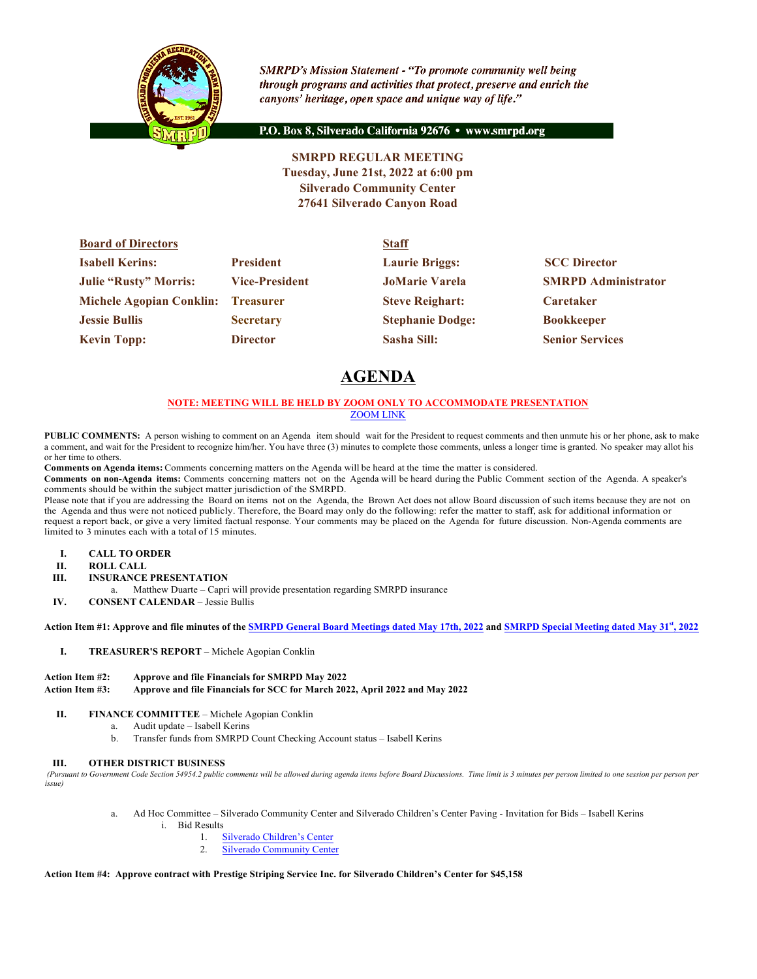

**SMRPD's Mission Statement - "To promote community well being** through programs and activities that protect, preserve and enrich the canyons' heritage, open space and unique way of life."

P.O. Box 8, Silverado California 92676 · www.smrpd.org

**SMRPD REGULAR MEETING Tuesday, June 21st, 2022 at 6:00 pm Silverado Community Center 27641 Silverado Canyon Road**

| <b>Board of Directors</b>          |                       | <b>Staff</b>            |                            |  |
|------------------------------------|-----------------------|-------------------------|----------------------------|--|
| <b>Isabell Kerins:</b>             | <b>President</b>      | <b>Laurie Briggs:</b>   | <b>SCC Director</b>        |  |
| <b>Julie "Rusty" Morris:</b>       | <b>Vice-President</b> | <b>JoMarie Varela</b>   | <b>SMRPD Administrator</b> |  |
| Michele Agopian Conklin: Treasurer |                       | <b>Steve Reighart:</b>  | <b>Caretaker</b>           |  |
| <b>Jessie Bullis</b>               | <b>Secretary</b>      | <b>Stephanie Dodge:</b> | <b>Bookkeeper</b>          |  |
| <b>Kevin Topp:</b>                 | <b>Director</b>       | <b>Sasha Sill:</b>      | <b>Senior Services</b>     |  |

# **AGENDA**

## **NOTE: MEETING WILL BE HELD BY ZOOM ONLY TO ACCOMMODATE PRESENTATION** ZOOM LINK

**PUBLIC COMMENTS:** A person wishing to comment on an Agenda item should wait for the President to request comments and then unmute his or her phone, ask to make a comment, and wait for the President to recognize him/her. You have three (3) minutes to complete those comments, unless a longer time is granted. No speaker may allot his or her time to others.

**Comments on Agenda items:** Comments concerning matters on the Agenda will be heard at the time the matter is considered.

**Comments on non-Agenda items:** Comments concerning matters not on the Agenda will be heard during the Public Comment section of the Agenda. A speaker's comments should be within the subject matter jurisdiction of the SMRPD.

Please note that if you are addressing the Board on items not on the Agenda, the Brown Act does not allow Board discussion of such items because they are not on the Agenda and thus were not noticed publicly. Therefore, the Board may only do the following: refer the matter to staff, ask for additional information or request a report back, or give a very limited factual response. Your comments may be placed on the Agenda for future discussion. Non-Agenda comments are limited to 3 minutes each with a total of 15 minutes.

- **I. CALL TO ORDER**
- **II. ROLL CALL**
- **III. INSURANCE PRESENTATION**
- a. Matthew Duarte Capri will provide presentation regarding SMRPD insurance
- **IV. CONSENT CALENDAR** Jessie Bullis

**Action Item #1: Approve and file minutes of the SMRPD General Board Meetings dated May 17th, 2022 and SMRPD Special Meeting dated May 31st, 2022**

**I. TREASURER'S REPORT** – Michele Agopian Conklin

## **Action Item #2: Approve and file Financials for SMRPD May 2022**

## **Action Item #3: Approve and file Financials for SCC for March 2022, April 2022 and May 2022**

- **II. FINANCE COMMITTEE** Michele Agopian Conklin
	- a. Audit update Isabell Kerins
		- b. Transfer funds from SMRPD Count Checking Account status Isabell Kerins

## **III. OTHER DISTRICT BUSINESS**

*(Pursuant to Government Code Section 54954.2 public comments will be allowed during agenda items before Board Discussions. Time limit is 3 minutes per person limited to one session per person per issue)*

- a. Ad Hoc Committee Silverado Community Center and Silverado Children's Center Paving Invitation for Bids Isabell Kerins
	- i. Bid Results
		- 1. Silverado Children's Center
		- 2. Silverado Community Center

## **Action Item #4: Approve contract with Prestige Striping Service Inc. for Silverado Children's Center for \$45,158**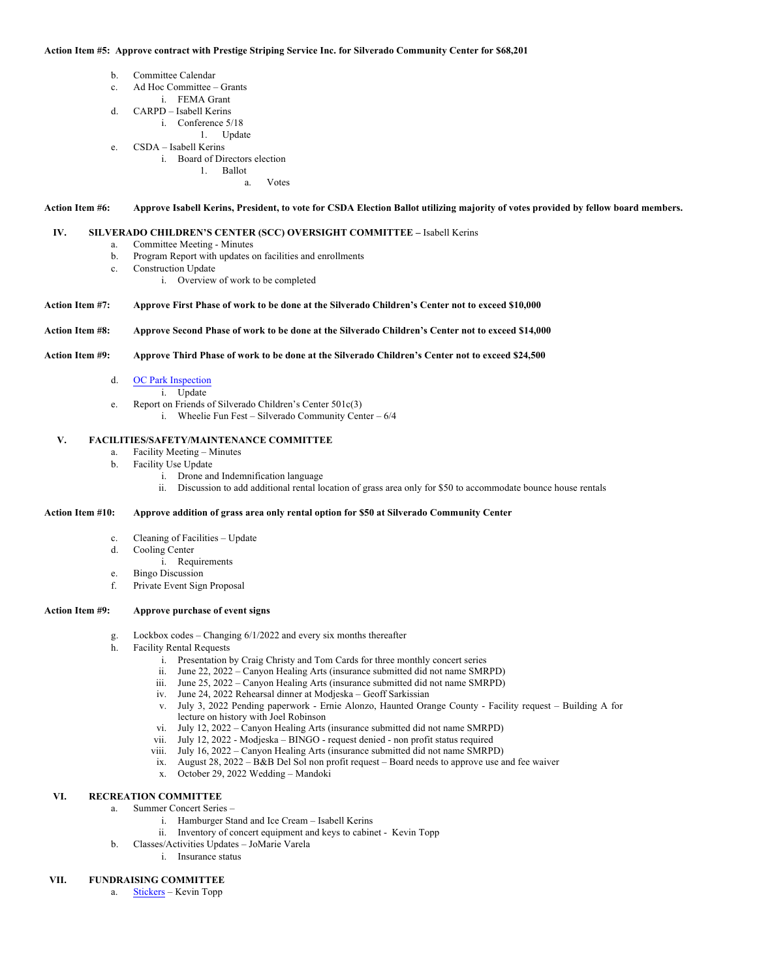#### **Action Item #5: Approve contract with Prestige Striping Service Inc. for Silverado Community Center for \$68,201**

- b. Committee Calendar
- c. Ad Hoc Committee Grants
	- i. FEMA Grant
- d. CARPD Isabell Kerins
	- i. Conference 5/18
	- 1. Update
- e. CSDA Isabell Kerins
	- i. Board of Directors election
		- 1. Ballot a. Votes

**Action Item #6: Approve Isabell Kerins, President, to vote for CSDA Election Ballot utilizing majority of votes provided by fellow board members.**

#### **IV. SILVERADO CHILDREN'S CENTER (SCC) OVERSIGHT COMMITTEE –** Isabell Kerins

- a. Committee Meeting Minutes
- b. Program Report with updates on facilities and enrollments
- c. Construction Update
	- i. Overview of work to be completed

#### **Action Item #7: Approve First Phase of work to be done at the Silverado Children's Center not to exceed \$10,000**

#### **Action Item #8: Approve Second Phase of work to be done at the Silverado Children's Center not to exceed \$14,000**

#### **Action Item #9: Approve Third Phase of work to be done at the Silverado Children's Center not to exceed \$24,500**

- d. OC Park Inspection
	- i. Update
- e. Report on Friends of Silverado Children's Center 501c(3)
	- i. Wheelie Fun Fest Silverado Community Center 6/4

#### **V. FACILITIES/SAFETY/MAINTENANCE COMMITTEE**

- a. Facility Meeting Minutes
- b. Facility Use Update
	- i. Drone and Indemnification language
	- ii. Discussion to add additional rental location of grass area only for \$50 to accommodate bounce house rentals

#### **Action Item #10: Approve addition of grass area only rental option for \$50 at Silverado Community Center**

- c. Cleaning of Facilities Update
- d. Cooling Center
	- i. Requirements
- e. Bingo Discussion
- f. Private Event Sign Proposal

# **Action Item #9: Approve purchase of event signs**

- g. Lockbox codes Changing 6/1/2022 and every six months thereafter
- h. Facility Rental Requests
	- i. Presentation by Craig Christy and Tom Cards for three monthly concert series
	- ii. June 22, 2022 Canyon Healing Arts (insurance submitted did not name SMRPD)
	- iii. June 25, 2022 Canyon Healing Arts (insurance submitted did not name SMRPD)
	- iv. June 24, 2022 Rehearsal dinner at Modjeska Geoff Sarkissian
	- v. July 3, 2022 Pending paperwork Ernie Alonzo, Haunted Orange County Facility request Building A for lecture on history with Joel Robinson
	- vi. July 12, 2022 Canyon Healing Arts (insurance submitted did not name SMRPD)
	- vii. July 12, 2022 Modjeska BINGO request denied non profit status required
	- viii. July 16, 2022 Canyon Healing Arts (insurance submitted did not name SMRPD)
	- ix. August 28, 2022 B&B Del Sol non profit request Board needs to approve use and fee waiver
	- x. October 29, 2022 Wedding Mandoki

# **VI. RECREATION COMMITTEE**

- a. Summer Concert Series
	- i. Hamburger Stand and Ice Cream Isabell Kerins
	- ii. Inventory of concert equipment and keys to cabinet Kevin Topp
- b. Classes/Activities Updates JoMarie Varela
	- i. Insurance status

#### **VII. FUNDRAISING COMMITTEE**

a. Stickers – Kevin Topp